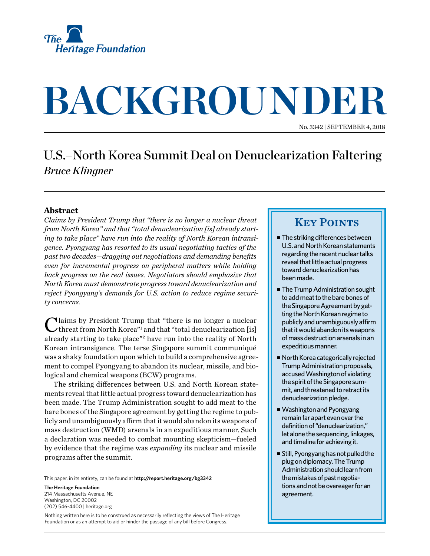

# **BACKGROUNDER**

No. 3342 | September 4, 2018

## U.S.–North Korea Summit Deal on Denuclearization Faltering *Bruce Klingner*

#### **Abstract**

*Claims by President Trump that "there is no longer a nuclear threat from North Korea" and that "total denuclearization [is] already starting to take place" have run into the reality of North Korean intransigence. Pyongyang has resorted to its usual negotiating tactics of the past two decades—dragging out negotiations and demanding benefits even for incremental progress on peripheral matters while holding back progress on the real issues. Negotiators should emphasize that North Korea must demonstrate progress toward denuclearization and reject Pyongyang's demands for U.S. action to reduce regime security concerns.*

Claims by President Trump that "there is no longer a nuclear threat from North Korea"<sup>1</sup> and that "total denuclearization [is] already starting to take place"<sup>2</sup> have run into the reality of North Korean intransigence. The terse Singapore summit communiqué was a shaky foundation upon which to build a comprehensive agreement to compel Pyongyang to abandon its nuclear, missile, and biological and chemical weapons (BCW) programs.

The striking differences between U.S. and North Korean statements reveal that little actual progress toward denuclearization has been made. The Trump Administration sought to add meat to the bare bones of the Singapore agreement by getting the regime to publicly and unambiguously affirm that it would abandon its weapons of mass destruction (WMD) arsenals in an expeditious manner. Such a declaration was needed to combat mounting skepticism—fueled by evidence that the regime was *expanding* its nuclear and missile programs after the summit.

This paper, in its entirety, can be found at **http://report.heritage.org/bg3342**

**The Heritage Foundation** 214 Massachusetts Avenue, NF Washington, DC 20002 (202) 546-4400 | [heritage.org](http://www.heritage.org)

Nothing written here is to be construed as necessarily reflecting the views of The Heritage Foundation or as an attempt to aid or hinder the passage of any bill before Congress.

### **KEY POINTS**

- $\blacksquare$  The striking differences between U.S. and North Korean statements regarding the recent nuclear talks reveal that little actual progress toward denuclearization has been made.
- The Trump Administration sought to add meat to the bare bones of the Singapore Agreement by getting the North Korean regime to publicly and unambiguously affirm that it would abandon its weapons of mass destruction arsenals in an expeditious manner.
- North Korea categorically rejected Trump Administration proposals, accused Washington of violating the spirit of the Singapore summit, and threatened to retract its denuclearization pledge.
- Washington and Pyongyang remain far apart even over the definition of "denuclearization," let alone the sequencing, linkages, and timeline for achieving it.
- $\blacksquare$  Still, Pyongyang has not pulled the plug on diplomacy. The Trump Administration should learn from the mistakes of past negotiations and not be overeager for an agreement.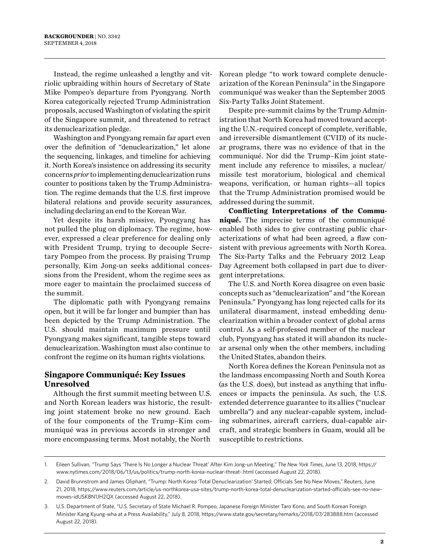Instead, the regime unleashed a lengthy and vitriolic upbraiding within hours of Secretary of State Mike Pompeo's departure from Pyongyang. North Korea categorically rejected Trump Administration proposals, accused Washington of violating the spirit of the Singapore summit, and threatened to retract its denuclearization pledge.

Washington and Pyongyang remain far apart even over the definition of "denuclearization," let alone the sequencing, linkages, and timeline for achieving it. North Korea's insistence on addressing its security concerns *prior* to implementing denuclearization runs counter to positions taken by the Trump Administration. The regime demands that the U.S. first improve bilateral relations and provide security assurances, including declaring an end to the Korean War.

Yet despite its harsh missive, Pyongyang has not pulled the plug on diplomacy. The regime, however, expressed a clear preference for dealing only with President Trump, trying to decouple Secretary Pompeo from the process. By praising Trump personally, Kim Jong-un seeks additional concessions from the President, whom the regime sees as more eager to maintain the proclaimed success of the summit.

The diplomatic path with Pyongyang remains open, but it will be far longer and bumpier than has been depicted by the Trump Administration. The U.S. should maintain maximum pressure until Pyongyang makes significant, tangible steps toward denuclearization. Washington must also continue to confront the regime on its human rights violations.

#### **Singapore Communiqué: Key Issues Unresolved**

Although the first summit meeting between U.S. and North Korean leaders was historic, the resulting joint statement broke no new ground. Each of the four components of the Trump–Kim communiqué was in previous accords in stronger and more encompassing terms. Most notably, the North

Korean pledge "to work toward complete denuclearization of the Korean Peninsula" in the Singapore communiqué was weaker than the September 2005 Six-Party Talks Joint Statement.

Despite pre-summit claims by the Trump Administration that North Korea had moved toward accepting the U.N.-required concept of complete, verifiable, and irreversible dismantlement (CVID) of its nuclear programs, there was no evidence of that in the communiqué. Nor did the Trump–Kim joint statement include any reference to missiles, a nuclear/ missile test moratorium, biological and chemical weapons, verification, or human rights—all topics that the Trump Administration promised would be addressed during the summit.

**Conflicting Interpretations of the Communiqué.** The imprecise terms of the communiqué enabled both sides to give contrasting public characterizations of what had been agreed, a flaw consistent with previous agreements with North Korea. The Six-Party Talks and the February 2012 Leap Day Agreement both collapsed in part due to divergent interpretations.

The U.S. and North Korea disagree on even basic concepts such as "denuclearization" and "the Korean Peninsula." Pyongyang has long rejected calls for its unilateral disarmament, instead embedding denuclearization within a broader context of global arms control. As a self-professed member of the nuclear club, Pyongyang has stated it will abandon its nuclear arsenal only when the other members, including the United States, abandon theirs.

North Korea defines the Korean Peninsula not as the landmass encompassing North and South Korea (as the U.S. does), but instead as anything that influences or impacts the peninsula. As such, the U.S. extended deterrence guarantee to its allies ("nuclear umbrella") and any nuclear-capable system, including submarines, aircraft carriers, dual-capable aircraft, and strategic bombers in Guam, would all be susceptible to restrictions.

<sup>1.</sup> Eileen Sullivan, "Trump Says 'There Is No Longer a Nuclear Threat' After Kim Jong-un Meeting," *The New York Times*, June 13, 2018, [https://](https://www.nytimes.com/2018/06/13/us/politics/trump-north-korea-nuclear-threat-.html) [www.nytimes.com/2018/06/13/us/politics/trump-north-korea-nuclear-threat-.html](https://www.nytimes.com/2018/06/13/us/politics/trump-north-korea-nuclear-threat-.html) (accessed August 22, 2018).

<sup>2.</sup> David Brunnstrom and James Oliphant, "Trump: North Korea 'Total Denuclearization' Started; Officials See No New Moves," Reuters, June 21, 2018, [https://www.reuters.com/article/us-northkorea-usa-sites/trump-north-korea-total-denuclearization-started-officials-see-no-new](https://www.reuters.com/article/us-northkorea-usa-sites/trump-north-korea-total-denuclearization-started-officials-see-no-new-moves-idUSKBN1JH2QX)[moves-idUSKBN1JH2QX](https://www.reuters.com/article/us-northkorea-usa-sites/trump-north-korea-total-denuclearization-started-officials-see-no-new-moves-idUSKBN1JH2QX) (accessed August 22, 2018).

<sup>3.</sup> U.S. Department of State, "U.S. Secretary of State Michael R. Pompeo, Japanese Foreign Minister Taro Kono, and South Korean Foreign Minister Kang Kyung-wha at a Press Availability," July 8, 2018,<https://www.state.gov/secretary/remarks/2018/07/283888.htm> (accessed August 22, 2018).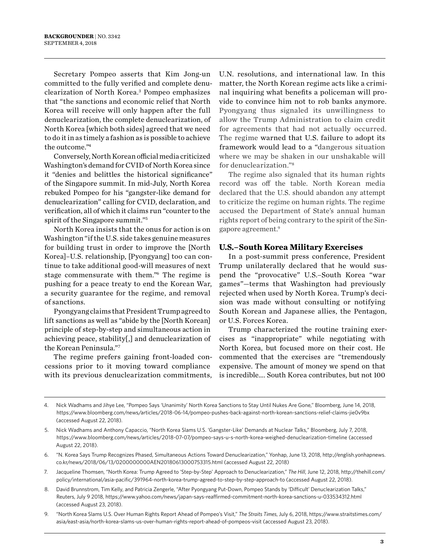Secretary Pompeo asserts that Kim Jong-un committed to the fully verified and complete denuclearization of North Korea.3 Pompeo emphasizes that "the sanctions and economic relief that North Korea will receive will only happen after the full denuclearization, the complete denuclearization, of North Korea [which both sides] agreed that we need to do it in as timely a fashion as is possible to achieve the outcome."4

Conversely, North Korean official media criticized Washington's demand for CVID of North Korea since it "denies and belittles the historical significance" of the Singapore summit. In mid-July, North Korea rebuked Pompeo for his "gangster-like demand for denuclearization" calling for CVID, declaration, and verification, all of which it claims run "counter to the spirit of the Singapore summit."5

North Korea insists that the onus for action is on Washington "if the U.S. side takes genuine measures for building trust in order to improve the [North Korea]–U.S. relationship, [Pyongyang] too can continue to take additional good-will measures of next stage commensurate with them."6 The regime is pushing for a peace treaty to end the Korean War, a security guarantee for the regime, and removal of sanctions.

Pyongyang claims that President Trump agreed to lift sanctions as well as "abide by the [North Korean] principle of step-by-step and simultaneous action in achieving peace, stability[,] and denuclearization of the Korean Peninsula."7

The regime prefers gaining front-loaded concessions prior to it moving toward compliance with its previous denuclearization commitments, U.N. resolutions, and international law. In this matter, the North Korean regime acts like a criminal inquiring what benefits a policeman will provide to convince him not to rob banks anymore. Pyongyang thus signaled its unwillingness to allow the Trump Administration to claim credit for agreements that had not actually occurred. The regime warned that U.S. failure to adopt its framework would lead to a "dangerous situation where we may be shaken in our unshakable will for denuclearization."8

The regime also signaled that its human rights record was off the table. North Korean media declared that the U.S. should abandon any attempt to criticize the regime on human rights. The regime accused the Department of State's annual human rights report of being contrary to the spirit of the Singapore agreement.9

#### **U.S.–South Korea Military Exercises**

In a post-summit press conference, President Trump unilaterally declared that he would suspend the "provocative" U.S.–South Korea "war games"—terms that Washington had previously rejected when used by North Korea. Trump's decision was made without consulting or notifying South Korean and Japanese allies, the Pentagon, or U.S. Forces Korea.

Trump characterized the routine training exercises as "inappropriate" while negotiating with North Korea, but focused more on their cost. He commented that the exercises are "tremendously expensive. The amount of money we spend on that is incredible…. South Korea contributes, but not 100

- 5. Nick Wadhams and Anthony Capaccio, "North Korea Slams U.S. 'Gangster-Like' Demands at Nuclear Talks," Bloomberg, July 7, 2018, <https://www.bloomberg.com/news/articles/2018-07-07/pompeo-says-u-s-north-korea-weighed-denuclearization-timeline>(accessed August 22, 2018).
- 6. "N. Korea Says Trump Recognizes Phased, Simultaneous Actions Toward Denuclearization," Yonhap, June 13, 2018, [http://english.yonhapnews.](http://english.yonhapnews.co.kr/news/2018/06/13/0200000000AEN20180613000753315.html) [co.kr/news/2018/06/13/0200000000AEN20180613000753315.html](http://english.yonhapnews.co.kr/news/2018/06/13/0200000000AEN20180613000753315.html) (accessed August 22, 2018)
- 7. Jacqueline Thomsen, "North Korea: Trump Agreed to 'Step-by-Step' Approach to Denuclearization," *The Hill*, June 12, 2018, [http://thehill.com/](http://thehill.com/policy/international/asia-pacific/391964-north-korea-trump-agreed-to-step-by-step-approach-to) [policy/international/asia-pacific/391964-north-korea-trump-agreed-to-step-by-step-approach-to](http://thehill.com/policy/international/asia-pacific/391964-north-korea-trump-agreed-to-step-by-step-approach-to) (accessed August 22, 2018).
- 8. David Brunnstrom, Tim Kelly, and Patricia Zengerle, "After Pyongyang Put-Down, Pompeo Stands by 'Difficult' Denuclearization Talks," Reuters, July 9 2018,<https://www.yahoo.com/news/japan-says-reaffirmed-commitment-north-korea-sanctions-u-033534312.html> (accessed August 23, 2018).
- 9. "North Korea Slams U.S. Over Human Rights Report Ahead of Pompeo's Visit," *The Straits Times*, July 6, 2018, [https://www.straitstimes.com/](https://www.straitstimes.com/asia/east-asia/north-korea-slams-us-over-human-rights-report-ahead-of-pompeos-visit) [asia/east-asia/north-korea-slams-us-over-human-rights-report-ahead-of-pompeos-visit](https://www.straitstimes.com/asia/east-asia/north-korea-slams-us-over-human-rights-report-ahead-of-pompeos-visit) (accessed August 23, 2018).

<sup>4.</sup> Nick Wadhams and Jihye Lee, "Pompeo Says 'Unanimity' North Korea Sanctions to Stay Until Nukes Are Gone," Bloomberg, June 14, 2018, <https://www.bloomberg.com/news/articles/2018-06-14/pompeo-pushes-back-against-north-korean-sanctions-relief-claims-jie0v9bx> (accessed August 22, 2018).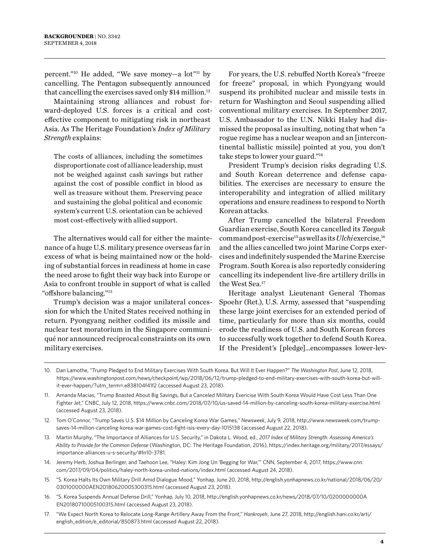percent."10 He added, "We save money—a lot"11 by cancelling. The Pentagon subsequently announced that cancelling the exercises saved only \$14 million.<sup>12</sup>

Maintaining strong alliances and robust forward-deployed U.S. forces is a critical and costeffective component to mitigating risk in northeast Asia. As The Heritage Foundation's *Index of Military Strength* explains:

The costs of alliances, including the sometimes disproportionate cost of alliance leadership, must not be weighed against cash savings but rather against the cost of possible conflict in blood as well as treasure without them. Preserving peace and sustaining the global political and economic system's current U.S. orientation can be achieved most cost-effectively with allied support.

The alternatives would call for either the maintenance of a huge U.S. military presence overseas far in excess of what is being maintained now or the holding of substantial forces in readiness at home in case the need arose to fight their way back into Europe or Asia to confront trouble in support of what is called "offshore balancing."13

Trump's decision was a major unilateral concession for which the United States received nothing in return. Pyongyang neither codified its missile and nuclear test moratorium in the Singapore communiqué nor announced reciprocal constraints on its own military exercises.

For years, the U.S. rebuffed North Korea's "freeze for freeze" proposal, in which Pyongyang would suspend its prohibited nuclear and missile tests in return for Washington and Seoul suspending allied conventional military exercises. In September 2017, U.S. Ambassador to the U.N. Nikki Haley had dismissed the proposal as insulting, noting that when "a rogue regime has a nuclear weapon and an [intercontinental ballistic missile] pointed at you, you don't take steps to lower your guard."14

President Trump's decision risks degrading U.S. and South Korean deterrence and defense capabilities. The exercises are necessary to ensure the interoperability and integration of allied military operations and ensure readiness to respond to North Korean attacks.

After Trump cancelled the bilateral Freedom Guardian exercise, South Korea cancelled its *Taeguk* command post-exercise15 as well as its *Ulchi* exercise,16 and the allies cancelled two joint Marine Corps exercises and indefinitely suspended the Marine Exercise Program. South Korea is also reportedly considering cancelling its independent live-fire artillery drills in the West Sea.17

Heritage analyst Lieutenant General Thomas Spoehr (Ret.), U.S. Army, assessed that "suspending these large joint exercises for an extended period of time, particularly for more than six months, could erode the readiness of U.S. and South Korean forces to successfully work together to defend South Korea. If the President's [pledge]…encompasses lower-lev-

- 13. Martin Murphy, "The Importance of Alliances for U.S. Security," in Dakota L. Wood, ed., *2017 Index of Military Strength: Assessing America's Ability to Provide for the Common Defense* (Washington, DC: The Heritage Foundation, 2016), https://index.heritage.org/military/2017/essays/ importance-alliances-u-s-security/#fn10-3781.
- 14. Jeremy Herb, Joshua Berlinger, and Taehoon Lee, "Haley: Kim Jong Un 'Begging for War,'" CNN, September 4, 2017, [https://www.cnn.](https://www.cnn.com/2017/09/04/politics/haley-north-korea-united-nations/index.html) [com/2017/09/04/politics/haley-north-korea-united-nations/index.html](https://www.cnn.com/2017/09/04/politics/haley-north-korea-united-nations/index.html) (accessed August 24, 2018).
- 15. "S. Korea Halts Its Own Military Drill Amid Dialogue Mood," Yonhap, June 20, 2018, [http://english.yonhapnews.co.kr/national/2018/06/20/](http://english.yonhapnews.co.kr/national/2018/06/20/0301000000AEN20180620005300315.html) [0301000000AEN20180620005300315.html](http://english.yonhapnews.co.kr/national/2018/06/20/0301000000AEN20180620005300315.html) (accessed August 23, 2018).
- 16. "S. Korea Suspends Annual Defense Drill," Yonhap, July 10, 2018, [http://english.yonhapnews.co.kr/news/2018/07/10/0200000000A](http://english.yonhapnews.co.kr/news/2018/07/10/0200000000AEN20180710005100315.html) [EN20180710005100315.html](http://english.yonhapnews.co.kr/news/2018/07/10/0200000000AEN20180710005100315.html) (accessed August 23, 2018).
- 17. "We Expect North Korea to Relocate Long-Range Artillery Away From the Front," *Hankroyeh*, June 27, 2018, [http://english.hani.co.kr/arti/](http://english.hani.co.kr/arti/english_edition/e_editorial/850873.html) [english\\_edition/e\\_editorial/850873.html](http://english.hani.co.kr/arti/english_edition/e_editorial/850873.html) (accessed August 22, 2018).

<sup>10.</sup> Dan Lamothe, "Trump Pledged to End Military Exercises With South Korea. But Will It Ever Happen?" *The Washington Post*, June 12, 2018, [https://www.washingtonpost.com/news/checkpoint/wp/2018/06/12/trump-pledged-to-end-military-exercises-with-south-korea-but-will](https://www.washingtonpost.com/news/checkpoint/wp/2018/06/12/trump-pledged-to-end-military-exercises-with-south-korea-but-will-it-ever-happen/?utm_term=.e838104f41f2)[it-ever-happen/?utm\\_term=.e838104f41f2](https://www.washingtonpost.com/news/checkpoint/wp/2018/06/12/trump-pledged-to-end-military-exercises-with-south-korea-but-will-it-ever-happen/?utm_term=.e838104f41f2) (accessed August 23, 2018).

<sup>11.</sup> Amanda Macias, "Trump Boasted About Big Savings, But a Canceled Military Exericise With South Korea Would Have Cost Less Than One Fighter Jet," CNBC, July 12, 2018,<https://www.cnbc.com/2018/07/10/us-saved-14-million-by-canceling-south-korea-military-exercise.html> (accessed August 23, 2018).

<sup>12.</sup> Tom O'Connor, "Trump Saves U.S. \$14 Million by Canceling Korea War Games," *Newsweek*, July 9, 2018, [http://www.newsweek.com/trump](http://www.newsweek.com/trump-saves-14-million-canceling-korea-war-games-cost-fight-isis-every-day-1015138)[saves-14-million-canceling-korea-war-games-cost-fight-isis-every-day-1015138](http://www.newsweek.com/trump-saves-14-million-canceling-korea-war-games-cost-fight-isis-every-day-1015138) (accessed August 22, 2018).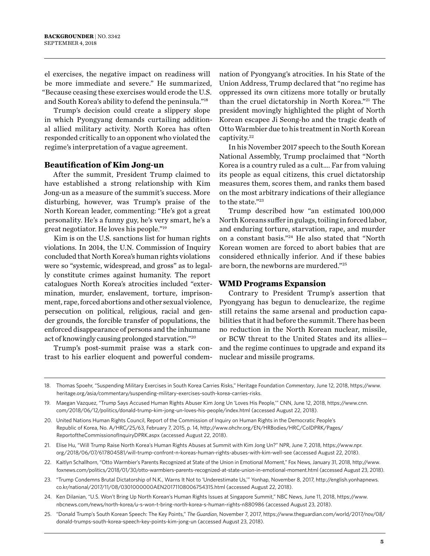el exercises, the negative impact on readiness will be more immediate and severe." He summarized, "Because ceasing these exercises would erode the U.S. and South Korea's ability to defend the peninsula."18

Trump's decision could create a slippery slope in which Pyongyang demands curtailing additional allied military activity. North Korea has often responded critically to an opponent who violated the regime's interpretation of a vague agreement.

#### **Beautification of Kim Jong-un**

After the summit, President Trump claimed to have established a strong relationship with Kim Jong-un as a measure of the summit's success. More disturbing, however, was Trump's praise of the North Korean leader, commenting: "He's got a great personality. He's a funny guy, he's very smart, he's a great negotiator. He loves his people."19

Kim is on the U.S. sanctions list for human rights violations. In 2014, the U.N. Commission of Inquiry concluded that North Korea's human rights violations were so "systemic, widespread, and gross" as to legally constitute crimes against humanity. The report catalogues North Korea's atrocities included "extermination, murder, enslavement, torture, imprisonment, rape, forced abortions and other sexual violence, persecution on political, religious, racial and gender grounds, the forcible transfer of populations, the enforced disappearance of persons and the inhumane act of knowingly causing prolonged starvation."20

Trump's post-summit praise was a stark contrast to his earlier eloquent and powerful condemnation of Pyongyang's atrocities. In his State of the Union Address, Trump declared that "no regime has oppressed its own citizens more totally or brutally than the cruel dictatorship in North Korea."21 The president movingly highlighted the plight of North Korean escapee Ji Seong-ho and the tragic death of Otto Warmbier due to his treatment in North Korean captivity.<sup>22</sup>

In his November 2017 speech to the South Korean National Assembly, Trump proclaimed that "North Korea is a country ruled as a cult…. Far from valuing its people as equal citizens, this cruel dictatorship measures them, scores them, and ranks them based on the most arbitrary indications of their allegiance to the state."23

Trump described how "an estimated 100,000 North Koreans suffer in gulags, toiling in forced labor, and enduring torture, starvation, rape, and murder on a constant basis."24 He also stated that "North Korean women are forced to abort babies that are considered ethnically inferior. And if these babies are born, the newborns are murdered."25

#### **WMD Programs Expansion**

Contrary to President Trump's assertion that Pyongyang has begun to denuclearize, the regime still retains the same arsenal and production capabilities that it had before the summit. There has been no reduction in the North Korean nuclear, missile, or BCW threat to the United States and its allies and the regime continues to upgrade and expand its nuclear and missile programs.

<sup>18.</sup> Thomas Spoehr, "Suspending Military Exercises in South Korea Carries Risks," Heritage Foundation *Commentary*, June 12, 2018, [https://www.](https://www.heritage.org/asia/commentary/suspending-military-exercises-south-korea-carries-risks) [heritage.org/asia/commentary/suspending-military-exercises-south-korea-carries-risks](https://www.heritage.org/asia/commentary/suspending-military-exercises-south-korea-carries-risks).

<sup>19.</sup> Maegan Vazquez, "Trump Says Accused Human Rights Abuser Kim Jong Un 'Loves His People,'" CNN, June 12, 2018, [https://www.cnn.](https://www.cnn.com/2018/06/12/politics/donald-trump-kim-jong-un-loves-his-people/index.html) [com/2018/06/12/politics/donald-trump-kim-jong-un-loves-his-people/index.html](https://www.cnn.com/2018/06/12/politics/donald-trump-kim-jong-un-loves-his-people/index.html) (accessed August 22, 2018).

<sup>20.</sup> United Nations Human Rights Council, Report of the Commission of Inquiry on Human Rights in the Democratic People's Republic of Korea, No. A/HRC/25/63, February 7, 2015, p. 14, [http://www.ohchr.org/EN/HRBodies/HRC/CoIDPRK/Pages/](http://www.ohchr.org/EN/HRBodies/HRC/CoIDPRK/Pages/ReportoftheCommissionofInquiryDPRK.aspx) [ReportoftheCommissionofInquiryDPRK.aspx](http://www.ohchr.org/EN/HRBodies/HRC/CoIDPRK/Pages/ReportoftheCommissionofInquiryDPRK.aspx) (accessed August 22, 2018).

<sup>21.</sup> Elise Hu, "Will Trump Raise North Korea's Human Rights Abuses at Summit with Kim Jong Un?" NPR, June 7, 2018, [https://www.npr.](https://www.npr.org/2018/06/07/617804581/will-trump-confront-n-koreas-human-rights-abuses-with-kim-well-see) [org/2018/06/07/617804581/will-trump-confront-n-koreas-human-rights-abuses-with-kim-well-see](https://www.npr.org/2018/06/07/617804581/will-trump-confront-n-koreas-human-rights-abuses-with-kim-well-see) (accessed August 22, 2018).

<sup>22.</sup> Kaitlyn Schallhorn, "Otto Warmbier's Parents Recognized at State of the Union in Emotional Moment," Fox News, January 31, 2018, [http://www.](http://www.foxnews.com/politics/2018/01/30/otto-warmbiers-parents-recognized-at-state-union-in-emotional-moment.html) [foxnews.com/politics/2018/01/30/otto-warmbiers-parents-recognized-at-state-union-in-emotional-moment.html](http://www.foxnews.com/politics/2018/01/30/otto-warmbiers-parents-recognized-at-state-union-in-emotional-moment.html) (accessed August 23, 2018).

<sup>23.</sup> "Trump Condemns Brutal Dictatorship of N.K., Warns It Not to 'Underestimate Us,'" Yonhap, November 8, 2017, [http://english.yonhapnews.](http://english.yonhapnews.co.kr/national/2017/11/08/0301000000AEN20171108006754315.html) [co.kr/national/2017/11/08/0301000000AEN20171108006754315.html](http://english.yonhapnews.co.kr/national/2017/11/08/0301000000AEN20171108006754315.html) (accessed August 22, 2018).

<sup>24.</sup> Ken Dilanian, "U.S. Won't Bring Up North Korean's Human Rights Issues at Singapore Summit," NBC News, June 11, 2018, [https://www.](https://www.nbcnews.com/news/north-korea/u-s-won-t-bring-north-korea-s-human-rights-n880986) [nbcnews.com/news/north-korea/u-s-won-t-bring-north-korea-s-human-rights-n880986](https://www.nbcnews.com/news/north-korea/u-s-won-t-bring-north-korea-s-human-rights-n880986) (accessed August 23, 2018).

<sup>25.</sup> "Donald Trump's South Korean Speech: The Key Points," *The Guardian*, November 7, 2017, [https://www.theguardian.com/world/2017/nov/08/](https://www.theguardian.com/world/2017/nov/08/donald-trumps-south-korea-speech-key-points-kim-jong-un) [donald-trumps-south-korea-speech-key-points-kim-jong-un](https://www.theguardian.com/world/2017/nov/08/donald-trumps-south-korea-speech-key-points-kim-jong-un) (accessed August 23, 2018).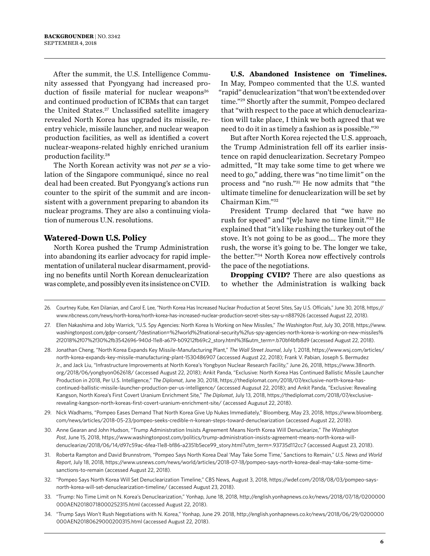After the summit, the U.S. Intelligence Community assessed that Pyongyang had increased production of fissile material for nuclear weapons<sup>26</sup> and continued production of ICBMs that can target the United States.27 Unclassified satellite imagery revealed North Korea has upgraded its missile, reentry vehicle, missile launcher, and nuclear weapon production facilities, as well as identified a covert nuclear-weapons-related highly enriched uranium production facility.28

The North Korean activity was not *per se* a violation of the Singapore communiqué, since no real deal had been created. But Pyongyang's actions run counter to the spirit of the summit and are inconsistent with a government preparing to abandon its nuclear programs. They are also a continuing violation of numerous U.N. resolutions.

#### **Watered-Down U.S. Policy**

North Korea pushed the Trump Administration into abandoning its earlier advocacy for rapid implementation of unilateral nuclear disarmament, providing no benefits until North Korean denuclearization was complete, and possibly even its insistence on CVID.

#### **U.S. Abandoned Insistence on Timelines.** In May, Pompeo commented that the U.S. wanted "rapid" denuclearization "that won't be extended over time."29 Shortly after the summit, Pompeo declared that "with respect to the pace at which denuclearization will take place, I think we both agreed that we need to do it in as timely a fashion as is possible."30

But after North Korea rejected the U.S. approach, the Trump Administration fell off its earlier insistence on rapid denuclearization. Secretary Pompeo admitted, "It may take some time to get where we need to go," adding, there was "no time limit" on the process and "no rush."31 He now admits that "the ultimate timeline for denuclearization will be set by Chairman Kim."32

President Trump declared that "we have no rush for speed" and "[w]e have no time limit."33 He explained that "it's like rushing the turkey out of the stove. It's not going to be as good…. The more they rush, the worse it's going to be. The longer we take, the better."34 North Korea now effectively controls the pace of the negotiations.

**Dropping CVID?** There are also questions as to whether the Administration is walking back

26. Courtney Kube, Ken Dilanian, and Carol E. Lee, "North Korea Has Increased Nuclear Production at Secret Sites, Say U.S. Officials," June 30, 2018, [https://](https://www.nbcnews.com/news/north-korea/north-korea-has-increased-nuclear-production-secret-sites-say-u-n887926) [www.nbcnews.com/news/north-korea/north-korea-has-increased-nuclear-production-secret-sites-say-u-n887926](https://www.nbcnews.com/news/north-korea/north-korea-has-increased-nuclear-production-secret-sites-say-u-n887926) (accessed August 22, 2018).

27. Ellen Nakashima and Joby Warrick, "U.S. Spy Agencies: North Korea Is Working on New Missiles," *The Washington Post*, July 30, 2018, [https://www.](https://www.washingtonpost.com/gdpr-consent/?destination=%2fworld%2fnational-security%2fus-spy-agencies-north-korea-is-working-on-new-missiles%2f2018%2f07%2f30%2fb3542696-940d-11e8-a679-b09212fb69c2_story.html%3f&utm_term=.b70bf4bfb8d9) [washingtonpost.com/gdpr-consent/?destination=%2fworld%2fnational-security%2fus-spy-agencies-north-korea-is-working-on-new-missiles%](https://www.washingtonpost.com/gdpr-consent/?destination=%2fworld%2fnational-security%2fus-spy-agencies-north-korea-is-working-on-new-missiles%2f2018%2f07%2f30%2fb3542696-940d-11e8-a679-b09212fb69c2_story.html%3f&utm_term=.b70bf4bfb8d9) [2f2018%2f07%2f30%2fb3542696-940d-11e8-a679-b09212fb69c2\\_story.html%3f&utm\\_term=.b70bf4bfb8d9](https://www.washingtonpost.com/gdpr-consent/?destination=%2fworld%2fnational-security%2fus-spy-agencies-north-korea-is-working-on-new-missiles%2f2018%2f07%2f30%2fb3542696-940d-11e8-a679-b09212fb69c2_story.html%3f&utm_term=.b70bf4bfb8d9) (accessed August 22, 2018).

28. Jonathan Cheng, "North Korea Expands Key Missile-Manufacturing Plant," *The Wall Street Journal*, July 1, 2018, [https://www.wsj.com/articles/](https://www.wsj.com/articles/north-korea-expands-key-missile-manufacturing-plant-1530486907) [north-korea-expands-key-missile-manufacturing-plant-1530486907](https://www.wsj.com/articles/north-korea-expands-key-missile-manufacturing-plant-1530486907) (accessed August 22, 2018); Frank V. Pabian, Joseph S. Bermudez Jr., and Jack Liu, "Infrastructure Improvements at North Korea's Yongbyon Nuclear Research Facility," June 26, 2018, [https://www.38north.](https://www.38north.org/2018/06/yongbyon062618/) [org/2018/06/yongbyon062618/](https://www.38north.org/2018/06/yongbyon062618/) (accessed August 22, 2018); Ankit Panda, "Exclusive: North Korea Has Continued Ballistic Missile Launcher Production in 2018, Per U.S. Intelligence," *The Diplomat*, June 30, 2018, [https://thediplomat.com/2018/07/exclusive-north-korea-has](https://thediplomat.com/2018/07/exclusive-north-korea-has-continued-ballistic-missile-launcher-production-per-us-intelligence/)[continued-ballistic-missile-launcher-production-per-us-intelligence/](https://thediplomat.com/2018/07/exclusive-north-korea-has-continued-ballistic-missile-launcher-production-per-us-intelligence/) (accessed Augusut 22, 2018); and Ankit Panda, "Exclusive: Revealing Kangson, North Korea's First Covert Uranium Enrichment Site," *The Diplomat*, July 13, 2018, [https://thediplomat.com/2018/07/exclusive](https://thediplomat.com/2018/07/exclusive-revealing-kangson-north-koreas-first-covert-uranium-enrichment-site/)[revealing-kangson-north-koreas-first-covert-uranium-enrichment-site/](https://thediplomat.com/2018/07/exclusive-revealing-kangson-north-koreas-first-covert-uranium-enrichment-site/) (accessed Augusut 22, 2018).

- 29. Nick Wadhams, "Pompeo Eases Demand That North Korea Give Up Nukes Immediately," Bloomberg, May 23, 2018, [https://www.bloomberg.](https://www.bloomberg.com/news/articles/2018-05-23/pompeo-seeks-credible-n-korean-steps-toward-denuclearization) [com/news/articles/2018-05-23/pompeo-seeks-credible-n-korean-steps-toward-denuclearization](https://www.bloomberg.com/news/articles/2018-05-23/pompeo-seeks-credible-n-korean-steps-toward-denuclearization) (accessed August 22, 2018).
- 30. Anne Gearan and John Hudson, "Trump Administration Insists Agreement Means North Korea Will Denuclearize," *The Washington Post*, June 15, 2018, [https://www.washingtonpost.com/politics/trump-administration-insists-agreement-means-north-korea-will](https://www.washingtonpost.com/politics/trump-administration-insists-agreement-means-north-korea-will-denuclearize/2018/06/14/d97c59ac-6fea-11e8-bf86-a2351b5ece99_story.html?utm_term=.93735d112cc7)[denuclearize/2018/06/14/d97c59ac-6fea-11e8-bf86-a2351b5ece99\\_story.html?utm\\_term=.93735d112cc7](https://www.washingtonpost.com/politics/trump-administration-insists-agreement-means-north-korea-will-denuclearize/2018/06/14/d97c59ac-6fea-11e8-bf86-a2351b5ece99_story.html?utm_term=.93735d112cc7) (accessed August 23, 2018).
- 31. Roberta Rampton and David Brunnstrom, "Pompeo Says North Korea Deal 'May Take Some Time,' Sanctions to Remain," *U.S. News and World Report*, July 18, 2018, [https://www.usnews.com/news/world/articles/2018-07-18/pompeo-says-north-korea-deal-may-take-some-time](https://www.usnews.com/news/world/articles/2018-07-18/pompeo-says-north-korea-deal-may-take-some-time-sanctions-to-remain)[sanctions-to-remain](https://www.usnews.com/news/world/articles/2018-07-18/pompeo-says-north-korea-deal-may-take-some-time-sanctions-to-remain) (accessed August 22, 2018).
- 32. "Pompeo Says North Korea Will Set Denuclearization Timeline," CBS News, August 3, 2018, [https://wdef.com/2018/08/03/pompeo-says](https://wdef.com/2018/08/03/pompeo-says-north-korea-will-set-denuclearization-timeline/)[north-korea-will-set-denuclearization-timeline/](https://wdef.com/2018/08/03/pompeo-says-north-korea-will-set-denuclearization-timeline/) (accessed August 23, 2018).
- 33. "Trump: No Time Limit on N. Korea's Denuclearization," Yonhap, June 18, 2018, [http://english.yonhapnews.co.kr/news/2018/07/18/0200000](http://english.yonhapnews.co.kr/news/2018/07/18/0200000000AEN20180718000252315.html) [000AEN20180718000252315.html](http://english.yonhapnews.co.kr/news/2018/07/18/0200000000AEN20180718000252315.html) (accessed August 22, 2018).
- 34. "Trump Says Won't Rush Negotiations with N. Korea," Yonhap, June 29. 2018, [http://english.yonhapnews.co.kr/news/2018/06/29/0200000](http://english.yonhapnews.co.kr/news/2018/06/29/0200000000AEN20180629000200315.html) [000AEN20180629000200315.html](http://english.yonhapnews.co.kr/news/2018/06/29/0200000000AEN20180629000200315.html) (accessed August 22, 2018).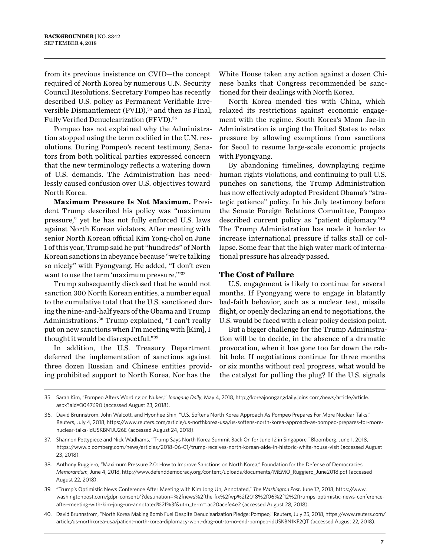from its previous insistence on CVID—the concept required of North Korea by numerous U.N. Security Council Resolutions. Secretary Pompeo has recently described U.S. policy as Permanent Verifiable Irreversible Dismantlement (PVID),<sup>35</sup> and then as Final, Fully Verified Denuclearization (FFVD).36

Pompeo has not explained why the Administration stopped using the term codified in the U.N. resolutions. During Pompeo's recent testimony, Senators from both political parties expressed concern that the new terminology reflects a watering down of U.S. demands. The Administration has needlessly caused confusion over U.S. objectives toward North Korea.

**Maximum Pressure Is Not Maximum.** President Trump described his policy was "maximum pressure," yet he has not fully enforced U.S. laws against North Korean violators. After meeting with senior North Korean official Kim Yong-chol on June 1 of this year, Trump said he put "hundreds" of North Korean sanctions in abeyance because "we're talking so nicely" with Pyongyang. He added, "I don't even want to use the term 'maximum pressure.'"37

Trump subsequently disclosed that he would not sanction 300 North Korean entities, a number equal to the cumulative total that the U.S. sanctioned during the nine-and-half years of the Obama and Trump Administrations.38 Trump explained, "I can't really put on new sanctions when I'm meeting with [Kim], I thought it would be disrespectful."39

In addition, the U.S. Treasury Department deferred the implementation of sanctions against three dozen Russian and Chinese entities providing prohibited support to North Korea. Nor has the

White House taken any action against a dozen Chinese banks that Congress recommended be sanctioned for their dealings with North Korea.

North Korea mended ties with China, which relaxed its restrictions against economic engagement with the regime. South Korea's Moon Jae-in Administration is urging the United States to relax pressure by allowing exemptions from sanctions for Seoul to resume large-scale economic projects with Pyongyang.

By abandoning timelines, downplaying regime human rights violations, and continuing to pull U.S. punches on sanctions, the Trump Administration has now effectively adopted President Obama's "strategic patience" policy. In his July testimony before the Senate Foreign Relations Committee, Pompeo described current policy as "patient diplomacy."40 The Trump Administration has made it harder to increase international pressure if talks stall or collapse. Some fear that the high water mark of international pressure has already passed.

#### **The Cost of Failure**

U.S. engagement is likely to continue for several months. If Pyongyang were to engage in blatantly bad-faith behavior, such as a nuclear test, missile flight, or openly declaring an end to negotiations, the U.S. would be faced with a clear policy decision point.

But a bigger challenge for the Trump Administration will be to decide, in the absence of a dramatic provocation, when it has gone too far down the rabbit hole. If negotiations continue for three months or six months without real progress, what would be the catalyst for pulling the plug? If the U.S. signals

35. Sarah Kim, "Pompeo Alters Wording on Nukes," *Joongang Daily*, May 4, 2018, [http://koreajoongangdaily.joins.com/news/article/article.](http://koreajoongangdaily.joins.com/news/article/article.aspx?aid=3047690) [aspx?aid=3047690](http://koreajoongangdaily.joins.com/news/article/article.aspx?aid=3047690) (accessed August 23, 2018).

- 39. "Trump's Optimistic News Conference After Meeting with Kim Jong Un, Annotated," *The Washington Post*, June 12, 2018, [https://www.](https://www.washingtonpost.com/gdpr-consent/?destination=%2fnews%2fthe-fix%2fwp%2f2018%2f06%2f12%2ftrumps-optimistic-news-conference-after-meeting-with-kim-jong-un-annotated%2f%3f&utm_term=.ac20acefe4e2) [washingtonpost.com/gdpr-consent/?destination=%2fnews%2fthe-fix%2fwp%2f2018%2f06%2f12%2ftrumps-optimistic-news-conference](https://www.washingtonpost.com/gdpr-consent/?destination=%2fnews%2fthe-fix%2fwp%2f2018%2f06%2f12%2ftrumps-optimistic-news-conference-after-meeting-with-kim-jong-un-annotated%2f%3f&utm_term=.ac20acefe4e2)[after-meeting-with-kim-jong-un-annotated%2f%3f&utm\\_term=.ac20acefe4e2](https://www.washingtonpost.com/gdpr-consent/?destination=%2fnews%2fthe-fix%2fwp%2f2018%2f06%2f12%2ftrumps-optimistic-news-conference-after-meeting-with-kim-jong-un-annotated%2f%3f&utm_term=.ac20acefe4e2) (accessed August 28, 2018).
- 40. David Brunnstrom, "North Korea Making Bomb Fuel Despite Denuclearization Pledge: Pompeo," Reuters, July 25, 2018, [https://www.reuters.com/](https://www.reuters.com/article/us-northkorea-usa/patient-north-korea-diplomacy-wont-drag-out-to-no-end-pompeo-idUSKBN1KF2QT) [article/us-northkorea-usa/patient-north-korea-diplomacy-wont-drag-out-to-no-end-pompeo-idUSKBN1KF2QT](https://www.reuters.com/article/us-northkorea-usa/patient-north-korea-diplomacy-wont-drag-out-to-no-end-pompeo-idUSKBN1KF2QT) (accessed August 22, 2018).

<sup>36.</sup> David Brunnstrom, John Walcott, and Hyonhee Shin, "U.S. Softens North Korea Approach As Pompeo Prepares For More Nuclear Talks," Reuters, July 4, 2018, [https://www.reuters.com/article/us-northkorea-usa/us-softens-north-korea-approach-as-pompeo-prepares-for-more](https://www.reuters.com/article/us-northkorea-usa/us-softens-north-korea-approach-as-pompeo-prepares-for-more-nuclear-talks-idUSKBN1JU26E)[nuclear-talks-idUSKBN1JU26E](https://www.reuters.com/article/us-northkorea-usa/us-softens-north-korea-approach-as-pompeo-prepares-for-more-nuclear-talks-idUSKBN1JU26E) (accessed August 24, 2018).

<sup>37.</sup> Shannon Pettypiece and Nick Wadhams, "Trump Says North Korea Summit Back On for June 12 in Singapore," Bloomberg, June 1, 2018, <https://www.bloomberg.com/news/articles/2018-06-01/trump-receives-north-korean-aide-in-historic-white-house-visit> (accessed August 23, 2018).

<sup>38.</sup> Anthony Ruggiero, "Maximum Pressure 2.0: How to Improve Sanctions on North Korea," Foundation for the Defense of Democracies *Memorandum*, June 4, 2018, [http://www.defenddemocracy.org/content/uploads/documents/MEMO\\_Ruggiero\\_June2018.pdf](http://www.defenddemocracy.org/content/uploads/documents/MEMO_Ruggiero_June2018.pdf) (accessed August 22, 2018).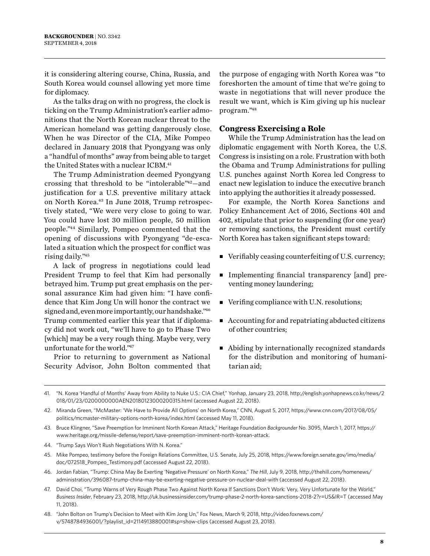it is considering altering course, China, Russia, and South Korea would counsel allowing yet more time for diplomacy.

As the talks drag on with no progress, the clock is ticking on the Trump Administration's earlier admonitions that the North Korean nuclear threat to the American homeland was getting dangerously close. When he was Director of the CIA, Mike Pompeo declared in January 2018 that Pyongyang was only a "handful of months" away from being able to target the United States with a nuclear ICBM. 41

The Trump Administration deemed Pyongyang crossing that threshold to be "intolerable"42—and justification for a U.S. preventive military attack on North Korea.43 In June 2018, Trump retrospectively stated, "We were very close to going to war. You could have lost 30 million people, 50 million people."44 Similarly, Pompeo commented that the opening of discussions with Pyongyang "de-escalated a situation which the prospect for conflict was rising daily."45

A lack of progress in negotiations could lead President Trump to feel that Kim had personally betrayed him. Trump put great emphasis on the personal assurance Kim had given him: "I have confidence that Kim Jong Un will honor the contract we signed and, even more importantly, our handshake."46 Trump commented earlier this year that if diplomacy did not work out, "we'll have to go to Phase Two [which] may be a very rough thing. Maybe very, very unfortunate for the world."47

Prior to returning to government as National Security Advisor, John Bolton commented that the purpose of engaging with North Korea was "to foreshorten the amount of time that we're going to waste in negotiations that will never produce the result we want, which is Kim giving up his nuclear program."48

#### **Congress Exercising a Role**

While the Trump Administration has the lead on diplomatic engagement with North Korea, the U.S. Congress is insisting on a role. Frustration with both the Obama and Trump Administrations for pulling U.S. punches against North Korea led Congress to enact new legislation to induce the executive branch into applying the authorities it already possessed.

For example, the North Korea Sanctions and Policy Enhancement Act of 2016, Sections 401 and 402, stipulate that prior to suspending (for one year) or removing sanctions, the President must certify North Korea has taken significant steps toward:

- $\blacksquare$  Verifiably ceasing counterfeiting of U.S. currency;
- <sup>n</sup> Implementing financial transparency [and] preventing money laundering;
- $\blacksquare$  Verifing compliance with U.N. resolutions;
- $\blacksquare$  Accounting for and repatriating abducted citizens of other countries;
- $\blacksquare$  Abiding by internationally recognized standards for the distribution and monitoring of humanitarian aid;

<sup>41.</sup> "N. Korea 'Handful of Months' Away from Ability to Nuke U.S.: CIA Chief," Yonhap, January 23, 2018, [http://english.yonhapnews.co.kr/news/2](http://english.yonhapnews.co.kr/news/2018/01/23/0200000000AEN20180123000200315.html) [018/01/23/0200000000AEN20180123000200315.html](http://english.yonhapnews.co.kr/news/2018/01/23/0200000000AEN20180123000200315.html) (accessed August 22, 2018).

<sup>42.</sup> Miranda Green, "McMaster: 'We Have to Provide All Options' on North Korea," CNN, August 5, 2017, [https://www.cnn.com/2017/08/05/](https://www.cnn.com/2017/08/05/politics/mcmaster-military-options-north-korea/index.html) [politics/mcmaster-military-options-north-korea/index.html](https://www.cnn.com/2017/08/05/politics/mcmaster-military-options-north-korea/index.html) (accessed May 11, 2018).

<sup>43.</sup> Bruce Klingner, "Save Preemption for Imminent North Korean Attack," Heritage Foundation *Backgrounder* No. 3095, March 1, 2017, [https://](https://www.heritage.org/missile-defense/report/save-preemption-imminent-north-korean-attack) [www.heritage.org/missile-defense/report/save-preemption-imminent-north-korean-attack.](https://www.heritage.org/missile-defense/report/save-preemption-imminent-north-korean-attack)

<sup>44.</sup> "Trump Says Won't Rush Negotiations With N. Korea."

<sup>45.</sup> Mike Pompeo, testimony before the Foreign Relations Committee, U.S. Senate, July 25, 2018, [https://www.foreign.senate.gov/imo/media/](https://www.foreign.senate.gov/imo/media/doc/072518_Pompeo_Testimony.pdf) [doc/072518\\_Pompeo\\_Testimony.pdf](https://www.foreign.senate.gov/imo/media/doc/072518_Pompeo_Testimony.pdf) (accessed August 22, 2018).

<sup>46.</sup> Jordan Fabian, "Trump: China May Be Exerting 'Negative Pressure' on North Korea," *The Hill*, July 9, 2018, [http://thehill.com/homenews/](http://thehill.com/homenews/administration/396087-trump-china-may-be-exerting-negative-pressure-on-nuclear-deal-with) [administration/396087-trump-china-may-be-exerting-negative-pressure-on-nuclear-deal-with](http://thehill.com/homenews/administration/396087-trump-china-may-be-exerting-negative-pressure-on-nuclear-deal-with) (accessed August 22, 2018).

<sup>47.</sup> David Choi, "Trump Warns of Very Rough Phase Two Against North Korea If Sanctions Don't Work: Very, Very Unfortunate for the World," *Business Insider*, February 23, 2018,<http://uk.businessinsider.com/trump-phase-2-north-korea-sanctions-2018-2?r=US&IR=T>(accessed May 11, 2018).

<sup>48.</sup> "John Bolton on Trump's Decision to Meet with Kim Jong Un," Fox News, March 9, 2018, http://video.foxnews.com/ v/5748784936001/?playlist\_id=2114913880001#sp=show-clips (accessed August 23, 2018).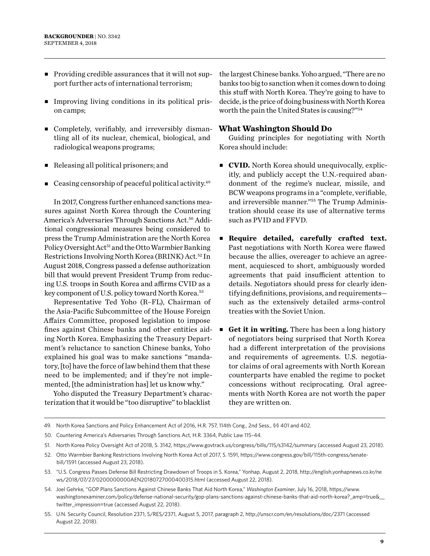- $\blacksquare$  Providing credible assurances that it will not support further acts of international terrorism;
- <sup>n</sup> Improving living conditions in its political prison camps;
- Completely, verifiably, and irreversibly dismantling all of its nuclear, chemical, biological, and radiological weapons programs;
- <sup>n</sup> Releasing all political prisoners; and
- $\blacksquare$  Ceasing censorship of peaceful political activity.<sup>49</sup>

In 2017, Congress further enhanced sanctions measures against North Korea through the Countering America's Adversaries Through Sanctions Act.50 Additional congressional measures being considered to press the Trump Administration are the North Korea Policy Oversight Act<sup>51</sup> and the Otto Warmbier Banking Restrictions Involving North Korea (BRINK) Act.52 In August 2018, Congress passed a defense authorization bill that would prevent President Trump from reducing U.S. troops in South Korea and affirms CVID as a key component of U.S. policy toward North Korea.<sup>53</sup>

Representative Ted Yoho (R–FL), Chairman of the Asia-Pacific Subcommittee of the House Foreign Affairs Committee, proposed legislation to impose fines against Chinese banks and other entities aiding North Korea. Emphasizing the Treasury Department's reluctance to sanction Chinese banks, Yoho explained his goal was to make sanctions "mandatory, [to] have the force of law behind them that these need to be implemented; and if they're not implemented, [the administration has] let us know why."

Yoho disputed the Treasury Department's characterization that it would be "too disruptive" to blacklist

the largest Chinese banks. Yoho argued, "There are no banks too big to sanction when it comes down to doing this stuff with North Korea. They're going to have to decide, is the price of doing business with North Korea worth the pain the United States is causing?"54

#### **What Washington Should Do**

Guiding principles for negotiating with North Korea should include:

- **cVID.** North Korea should unequivocally, explicitly, and publicly accept the U.N.-required abandonment of the regime's nuclear, missile, and BCW weapons programs in a "complete, verifiable, and irreversible manner."55 The Trump Administration should cease its use of alternative terms such as PVID and FFVD.
- <sup>n</sup> **Require detailed, carefully crafted text.** Past negotiations with North Korea were flawed because the allies, overeager to achieve an agreement, acquiesced to short, ambiguously worded agreements that paid insufficient attention to details. Negotiators should press for clearly identifying definitions, provisions, and requirements such as the extensively detailed arms-control treaties with the Soviet Union.
- **Get it in writing.** There has been a long history of negotiators being surprised that North Korea had a different interpretation of the provisions and requirements of agreements. U.S. negotiator claims of oral agreements with North Korean counterparts have enabled the regime to pocket concessions without reciprocating. Oral agreements with North Korea are not worth the paper they are written on.

<sup>49.</sup> North Korea Sanctions and Policy Enhancement Act of 2016, H.R. 757, 114th Cong., 2nd Sess., §§ 401 and 402.

<sup>50.</sup> Countering America's Adversaries Through Sanctions Act, H.R. 3364, Public Law 115–44.

<sup>51.</sup> North Korea Policy Oversight Act of 2018, S. 3142,<https://www.govtrack.us/congress/bills/115/s3142/summary>(accessed August 23, 2018).

<sup>52.</sup> Otto Warmbier Banking Restrictions Involving North Korea Act of 2017, S. 1591, [https://www.congress.gov/bill/115th-congress/senate](https://www.congress.gov/bill/115th-congress/senate-bill/1591)[bill/1591](https://www.congress.gov/bill/115th-congress/senate-bill/1591) (accessed August 23, 2018).

<sup>53.</sup> "U.S. Congress Passes Defense Bill Restricting Drawdown of Troops in S. Korea," Yonhap, August 2, 2018, [http://english.yonhapnews.co.kr/ne](http://english.yonhapnews.co.kr/news/2018/07/27/0200000000AEN20180727000400315.html) [ws/2018/07/27/0200000000AEN20180727000400315.html](http://english.yonhapnews.co.kr/news/2018/07/27/0200000000AEN20180727000400315.html) (accessed August 22, 2018).

<sup>54.</sup> Joel Gehrke, "GOP Plans Sanctions Against Chinese Banks That Aid North Korea," *Washington Examiner*, July 16, 2018, [https://www.](https://www.washingtonexaminer.com/policy/defense-national-security/gop-plans-sanctions-against-chinese-banks-that-aid-north-korea?_amp=true&__twitter_impression=true) washingtonexaminer.com/policy/defense-national-security/gop-plans-sanctions-against-chinese-banks-that-aid-north-korea? amp=true& [twitter\\_impression=true](https://www.washingtonexaminer.com/policy/defense-national-security/gop-plans-sanctions-against-chinese-banks-that-aid-north-korea?_amp=true&__twitter_impression=true) (accessed August 22, 2018).

<sup>55.</sup> U.N. Security Council, Resolution 2371, S/RES/2371, August 5, 2017, paragraph 2, <http://unscr.com/en/resolutions/doc/2371> (accessed August 22, 2018).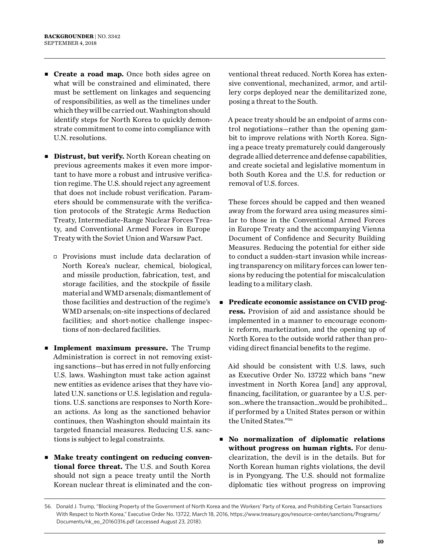- **Create a road map.** Once both sides agree on what will be constrained and eliminated, there must be settlement on linkages and sequencing of responsibilities, as well as the timelines under which they will be carried out. Washington should identify steps for North Korea to quickly demonstrate commitment to come into compliance with U.N. resolutions.
- **Distrust, but verify.** North Korean cheating on previous agreements makes it even more important to have more a robust and intrusive verification regime. The U.S. should reject any agreement that does not include robust verification. Parameters should be commensurate with the verification protocols of the Strategic Arms Reduction Treaty, Intermediate-Range Nuclear Forces Treaty, and Conventional Armed Forces in Europe Treaty with the Soviet Union and Warsaw Pact.
	- $\Box$  Provisions must include data declaration of North Korea's nuclear, chemical, biological, and missile production, fabrication, test, and storage facilities, and the stockpile of fissile material and WMD arsenals; dismantlement of those facilities and destruction of the regime's WMD arsenals; on-site inspections of declared facilities; and short-notice challenge inspections of non-declared facilities.
- **n Implement maximum pressure.** The Trump Administration is correct in not removing existing sanctions—but has erred in not fully enforcing U.S. laws. Washington must take action against new entities as evidence arises that they have violated U.N. sanctions or U.S. legislation and regulations. U.S. sanctions are responses to North Korean actions. As long as the sanctioned behavior continues, then Washington should maintain its targeted financial measures. Reducing U.S. sanctions is subject to legal constraints.
- Make treaty contingent on reducing conven**tional force threat.** The U.S. and South Korea should not sign a peace treaty until the North Korean nuclear threat is eliminated and the con-

ventional threat reduced. North Korea has extensive conventional, mechanized, armor, and artillery corps deployed near the demilitarized zone, posing a threat to the South.

A peace treaty should be an endpoint of arms control negotiations—rather than the opening gambit to improve relations with North Korea. Signing a peace treaty prematurely could dangerously degrade allied deterrence and defense capabilities, and create societal and legislative momentum in both South Korea and the U.S. for reduction or removal of U.S. forces.

These forces should be capped and then weaned away from the forward area using measures similar to those in the Conventional Armed Forces in Europe Treaty and the accompanying Vienna Document of Confidence and Security Building Measures. Reducing the potential for either side to conduct a sudden-start invasion while increasing transparency on military forces can lower tensions by reducing the potential for miscalculation leading to a military clash.

**Predicate economic assistance on CVID progress.** Provision of aid and assistance should be implemented in a manner to encourage economic reform, marketization, and the opening up of North Korea to the outside world rather than providing direct financial benefits to the regime.

Aid should be consistent with U.S. laws, such as Executive Order No. 13722 which bans "new investment in North Korea [and] any approval, financing, facilitation, or guarantee by a U.S. person…where the transaction…would be prohibited… if performed by a United States person or within the United States."56

<sup>n</sup> **No normalization of diplomatic relations without progress on human rights.** For denuclearization, the devil is in the details. But for North Korean human rights violations, the devil is in Pyongyang. The U.S. should not formalize diplomatic ties without progress on improving

<sup>56.</sup> Donald J. Trump, "Blocking Property of the Government of North Korea and the Workers' Party of Korea, and Prohibiting Certain Transactions With Respect to North Korea," Executive Order No. 13722, March 18, 2016, [https://www.treasury.gov/resource-center/sanctions/Programs/](https://www.treasury.gov/resource-center/sanctions/Programs/Documents/nk_eo_20160316.pdf) [Documents/nk\\_eo\\_20160316.pdf](https://www.treasury.gov/resource-center/sanctions/Programs/Documents/nk_eo_20160316.pdf) (accessed August 23, 2018).